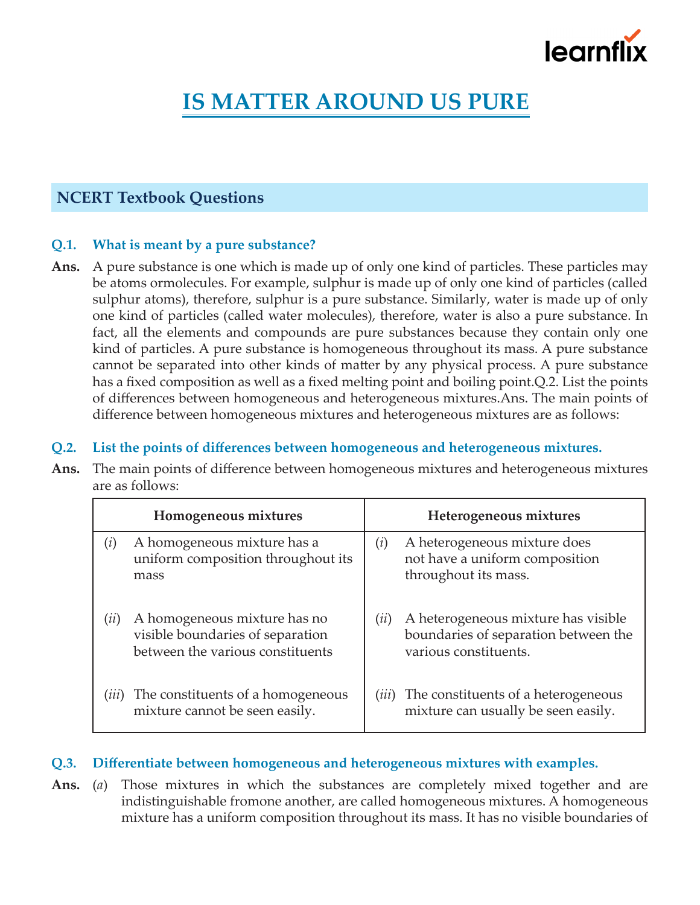

# **IS MATTER AROUND US PURE**

# **NCERT Textbook Questions**

#### **Q.1. What is meant by a pure substance?**

**Ans.** A pure substance is one which is made up of only one kind of particles. These particles may be atoms ormolecules. For example, sulphur is made up of only one kind of particles (called sulphur atoms), therefore, sulphur is a pure substance. Similarly, water is made up of only one kind of particles (called water molecules), therefore, water is also a pure substance. In fact, all the elements and compounds are pure substances because they contain only one kind of particles. A pure substance is homogeneous throughout its mass. A pure substance cannot be separated into other kinds of matter by any physical process. A pure substance has a fixed composition as well as a fixed melting point and boiling point.Q.2. List the points of differences between homogeneous and heterogeneous mixtures.Ans. The main points of difference between homogeneous mixtures and heterogeneous mixtures are as follows:

#### **Q.2. List the points of differences between homogeneous and heterogeneous mixtures.**

**Ans.** The main points of difference between homogeneous mixtures and heterogeneous mixtures are as follows:

|                     | Homogeneous mixtures                                                                                 |       | Heterogeneous mixtures                                                                               |
|---------------------|------------------------------------------------------------------------------------------------------|-------|------------------------------------------------------------------------------------------------------|
| (i)                 | A homogeneous mixture has a<br>uniform composition throughout its<br>mass                            | (i)   | A heterogeneous mixture does<br>not have a uniform composition<br>throughout its mass.               |
| (ii)                | A homogeneous mixture has no<br>visible boundaries of separation<br>between the various constituents | (ii)  | A heterogeneous mixture has visible<br>boundaries of separation between the<br>various constituents. |
| $(\iota\iota\iota)$ | The constituents of a homogeneous<br>mixture cannot be seen easily.                                  | (iii) | The constituents of a heterogeneous<br>mixture can usually be seen easily.                           |

## **Q.3. Differentiate between homogeneous and heterogeneous mixtures with examples.**

**Ans.** (*a*) Those mixtures in which the substances are completely mixed together and are indistinguishable fromone another, are called homogeneous mixtures. A homogeneous mixture has a uniform composition throughout its mass. It has no visible boundaries of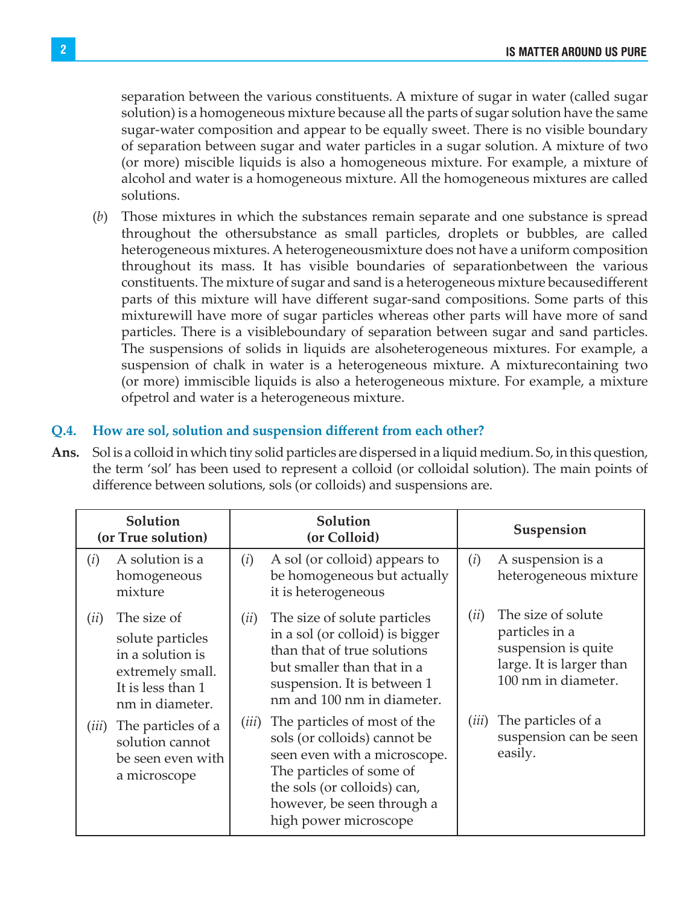separation between the various constituents. A mixture of sugar in water (called sugar solution) is a homogeneous mixture because all the parts of sugar solution have the same sugar-water composition and appear to be equally sweet. There is no visible boundary of separation between sugar and water particles in a sugar solution. A mixture of two (or more) miscible liquids is also a homogeneous mixture. For example, a mixture of alcohol and water is a homogeneous mixture. All the homogeneous mixtures are called solutions.

(*b*) Those mixtures in which the substances remain separate and one substance is spread throughout the othersubstance as small particles, droplets or bubbles, are called heterogeneous mixtures. A heterogeneousmixture does not have a uniform composition throughout its mass. It has visible boundaries of separationbetween the various constituents. The mixture of sugar and sand is a heterogeneous mixture becausedifferent parts of this mixture will have different sugar-sand compositions. Some parts of this mixturewill have more of sugar particles whereas other parts will have more of sand particles. There is a visibleboundary of separation between sugar and sand particles. The suspensions of solids in liquids are alsoheterogeneous mixtures. For example, a suspension of chalk in water is a heterogeneous mixture. A mixturecontaining two (or more) immiscible liquids is also a heterogeneous mixture. For example, a mixture ofpetrol and water is a heterogeneous mixture.

## **Q.4. How are sol, solution and suspension different from each other?**

**Ans.** Sol is a colloid in which tiny solid particles are dispersed in a liquid medium. So, in this question, the term 'sol' has been used to represent a colloid (or colloidal solution). The main points of difference between solutions, sols (or colloids) and suspensions are.

| Solution<br>(or True solution) |                                                                                                                 |       | Solution<br>(or Colloid)                                                                                                                                                                                       |      | Suspension                                                                                                     |  |
|--------------------------------|-----------------------------------------------------------------------------------------------------------------|-------|----------------------------------------------------------------------------------------------------------------------------------------------------------------------------------------------------------------|------|----------------------------------------------------------------------------------------------------------------|--|
| (i)<br>mixture                 | A solution is a<br>homogeneous                                                                                  | (i)   | A sol (or colloid) appears to<br>be homogeneous but actually<br>it is heterogeneous                                                                                                                            | (i)  | A suspension is a<br>heterogeneous mixture                                                                     |  |
| (ii)                           | The size of<br>solute particles<br>in a solution is<br>extremely small.<br>It is less than 1<br>nm in diameter. | (ii)  | The size of solute particles<br>in a sol (or colloid) is bigger<br>than that of true solutions<br>but smaller than that in a<br>suspension. It is between 1<br>nm and 100 nm in diameter.                      | (ii) | The size of solute<br>particles in a<br>suspension is quite<br>large. It is larger than<br>100 nm in diameter. |  |
| (iii)                          | The particles of a<br>solution cannot<br>be seen even with<br>a microscope                                      | (iii) | The particles of most of the<br>sols (or colloids) cannot be<br>seen even with a microscope.<br>The particles of some of<br>the sols (or colloids) can,<br>however, be seen through a<br>high power microscope | (ii) | The particles of a<br>suspension can be seen<br>easily.                                                        |  |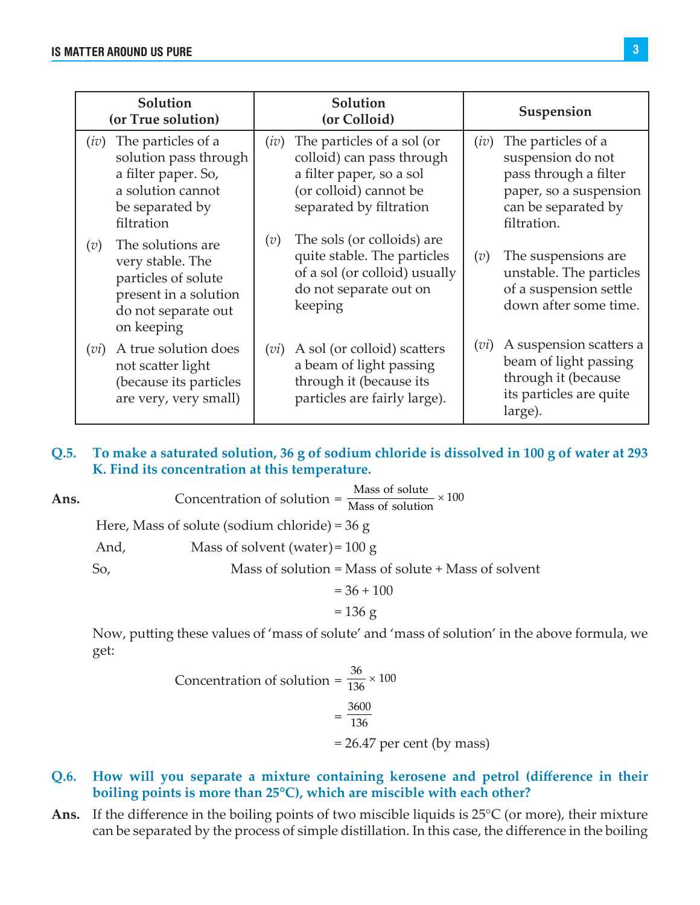| Solution<br>(or True solution)                                                                                                    | Solution<br>(or Colloid)                                                                                                                         | Suspension                                                                                                                               |  |  |
|-----------------------------------------------------------------------------------------------------------------------------------|--------------------------------------------------------------------------------------------------------------------------------------------------|------------------------------------------------------------------------------------------------------------------------------------------|--|--|
| The particles of a<br>(iv)<br>solution pass through<br>a filter paper. So,<br>a solution cannot<br>be separated by<br>filtration  | The particles of a sol (or<br>(iv)<br>colloid) can pass through<br>a filter paper, so a sol<br>(or colloid) cannot be<br>separated by filtration | The particles of a<br>(iv)<br>suspension do not<br>pass through a filter<br>paper, so a suspension<br>can be separated by<br>filtration. |  |  |
| The solutions are<br>(v)<br>very stable. The<br>particles of solute<br>present in a solution<br>do not separate out<br>on keeping | The sols (or colloids) are<br>(v)<br>quite stable. The particles<br>of a sol (or colloid) usually<br>do not separate out on<br>keeping           | The suspensions are<br>(v)<br>unstable. The particles<br>of a suspension settle<br>down after some time.                                 |  |  |
| A true solution does<br>(vi)<br>not scatter light<br>(because its particles<br>are very, very small)                              | A sol (or colloid) scatters<br>(vi)<br>a beam of light passing<br>through it (because its<br>particles are fairly large).                        | A suspension scatters a<br>(vi)<br>beam of light passing<br>through it (because<br>its particles are quite<br>large).                    |  |  |

## Q.5. To make a saturated solution, 36 g of sodium chloride is dissolved in 100 g of water at 293 **K. Find its concentration at this temperature.**

| Ans. |      | Concentration of solution = $\frac{\text{Mass of solute}}{\text{Mass of solution}} \times 100$ |
|------|------|------------------------------------------------------------------------------------------------|
|      |      | Here, Mass of solute (sodium chloride) = $36 g$                                                |
|      | And, | Mass of solvent (water) = $100 g$                                                              |
|      | So.  | Mass of solution = Mass of solute + Mass of solvent                                            |
|      |      | $=$ 36 + 100                                                                                   |

$$
= 136 \text{ g}
$$

Now, putting these values of 'mass of solute' and 'mass of solution' in the above formula, we get:

Concentration of solution = 
$$
\frac{36}{136} \times 100
$$
  
=  $\frac{3600}{136}$   
= 26.47 per cent (by mass)

## **Q.6. How will you separate a mixture containing kerosene and petrol (difference in their boiling points is more than 25°C), which are miscible with each other?**

**Ans.** If the difference in the boiling points of two miscible liquids is 25°C (or more), their mixture can be separated by the process of simple distillation. In this case, the difference in the boiling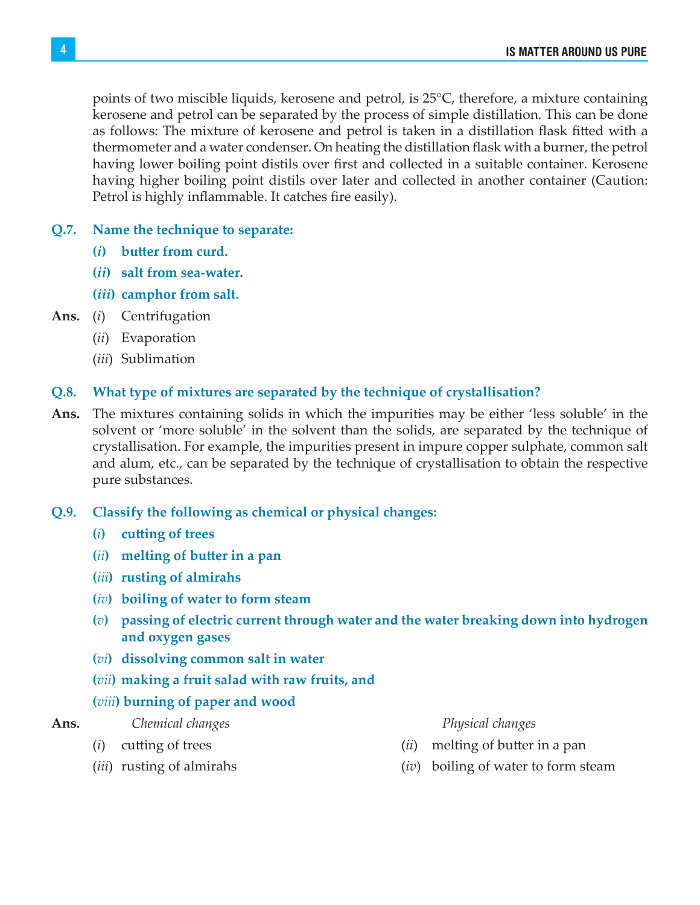points of two miscible liquids, kerosene and petrol, is 25°C, therefore, a mixture containing kerosene and petrol can be separated by the process of simple distillation. This can be done as follows: The mixture of kerosene and petrol is taken in a distillation flask fitted with a thermometer and a water condenser. On heating the distillation flask with a burner, the petrol having lower boiling point distils over first and collected in a suitable container. Kerosene having higher boiling point distils over later and collected in another container (Caution: Petrol is highly inflammable. It catches fire easily).

## **Q.7. Name the technique to separate:**

- **(***i***) butter from curd.**
- **(***ii***) salt from sea-water.**
- **(***iii***) camphor from salt.**
- **Ans.** (*i*) Centrifugation
	- (*ii*) Evaporation
	- (*iii*) Sublimation

## **Q.8. What type of mixtures are separated by the technique of crystallisation?**

**Ans.** The mixtures containing solids in which the impurities may be either 'less soluble' in the solvent or 'more soluble' in the solvent than the solids, are separated by the technique of crystallisation. For example, the impurities present in impure copper sulphate, common salt and alum, etc., can be separated by the technique of crystallisation to obtain the respective pure substances.

## **Q.9. Classify the following as chemical or physical changes:**

- **(***i***) cutting of trees**
- **(***ii***) melting of butter in a pan**
- **(***iii***) rusting of almirahs**
- **(***iv***) boiling of water to form steam**
- **(***v***) passing of electric current through water and the water breaking down into hydrogen and oxygen gases**
- **(***vi***) dissolving common salt in water**
- **(***vii***) making a fruit salad with raw fruits, and**

# **(***viii***) burning of paper and wood**

- 
- 
- 
- **Ans.** *Chemical changes Physical changes*
	- (*i*) cutting of trees (*ii*) melting of butter in a pan
	- (*iii*) rusting of almirahs (*iv*) boiling of water to form steam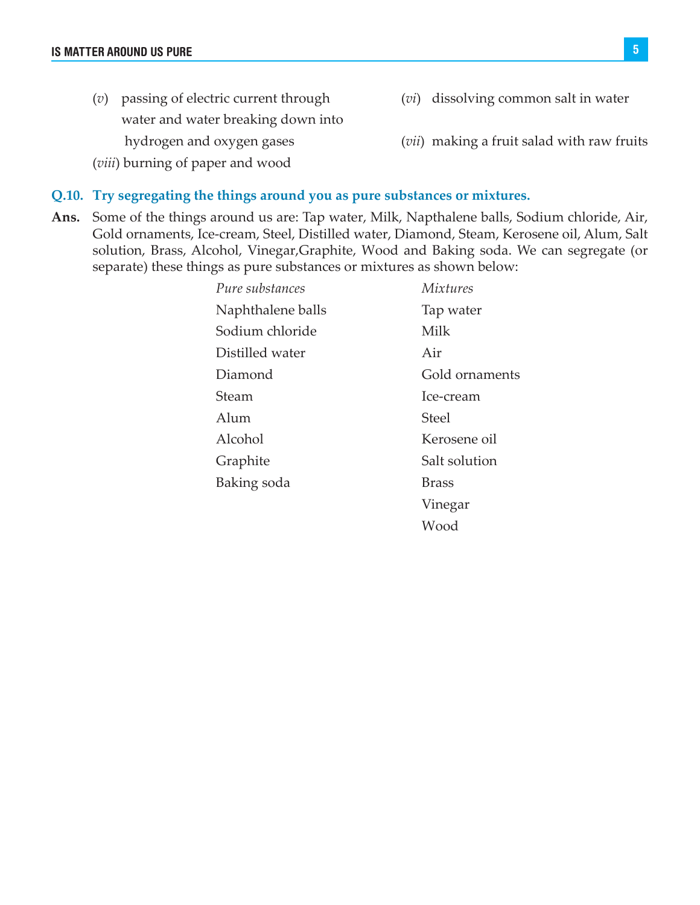- (*v*) passing of electric current through (*vi*) dissolving common salt in water water and water breaking down into
- (*viii*) burning of paper and wood
- 
- hydrogen and oxygen gases (*vii*) making a fruit salad with raw fruits

#### **Q.10. Try segregating the things around you as pure substances or mixtures.**

**Ans.** Some of the things around us are: Tap water, Milk, Napthalene balls, Sodium chloride, Air, Gold ornaments, Ice-cream, Steel, Distilled water, Diamond, Steam, Kerosene oil, Alum, Salt solution, Brass, Alcohol, Vinegar,Graphite, Wood and Baking soda. We can segregate (or separate) these things as pure substances or mixtures as shown below:

| Pure substances   | <b>Mixtures</b> |
|-------------------|-----------------|
| Naphthalene balls | Tap water       |
| Sodium chloride   | Milk            |
| Distilled water   | Air             |
| Diamond           | Gold ornaments  |
| Steam             | Ice-cream       |
| Alum              | <b>Steel</b>    |
| Alcohol           | Kerosene oil    |
| Graphite          | Salt solution   |
| Baking soda       | <b>Brass</b>    |
|                   | Vinegar         |
|                   | Wood            |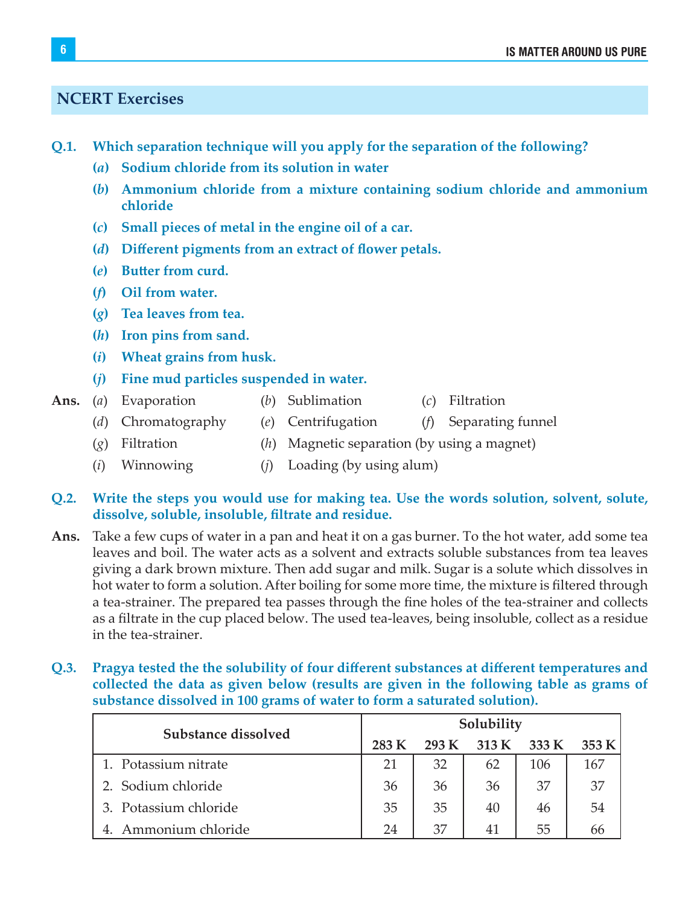# **NCERT Exercises**

- **Q.1. Which separation technique will you apply for the separation of the following?**
	- **(***a***) Sodium chloride from its solution in water**
	- **(***b***) Ammonium chloride from a mixture containing sodium chloride and ammonium chloride**
	- **(***c***) Small pieces of metal in the engine oil of a car.**
	- **(***d***) Different pigments from an extract of flower petals.**
	- **(***e***) Butter from curd.**
	- **(***f***) Oil from water.**
	- **(***g***) Tea leaves from tea.**
	- **(***h***) Iron pins from sand.**
	- **(***i***) Wheat grains from husk.**
	- **(***j***) Fine mud particles suspended in water.**
- **Ans.** (*a*) Evaporation (*b*) Sublimation (*c*) Filtration
	- (*d*) Chromatography (*e*) Centrifugation (*f*) Separating funnel
	- (*g*) Filtration (*h*) Magnetic separation (by using a magnet)
	- (*i*) Winnowing (*j*) Loading (by using alum)
- **Q.2. Write the steps you would use for making tea. Use the words solution, solvent, solute, dissolve, soluble, insoluble, filtrate and residue.**
- **Ans.** Take a few cups of water in a pan and heat it on a gas burner. To the hot water, add some tea leaves and boil. The water acts as a solvent and extracts soluble substances from tea leaves giving a dark brown mixture. Then add sugar and milk. Sugar is a solute which dissolves in hot water to form a solution. After boiling for some more time, the mixture is filtered through a tea-strainer. The prepared tea passes through the fine holes of the tea-strainer and collects as a filtrate in the cup placed below. The used tea-leaves, being insoluble, collect as a residue in the tea-strainer.
- **Q.3. Pragya tested the the solubility of four different substances at different temperatures and collected the data as given below (results are given in the following table as grams of substance dissolved in 100 grams of water to form a saturated solution).**

| Substance dissolved   | Solubility |       |       |       |       |  |  |
|-----------------------|------------|-------|-------|-------|-------|--|--|
|                       | 283 K      | 293 K | 313 K | 333 K | 353 K |  |  |
| 1. Potassium nitrate  | 21         | 32    | 62    | 106   | 167   |  |  |
| 2. Sodium chloride    | 36         | 36    | 36    | 37    | 37    |  |  |
| 3. Potassium chloride | 35         | 35    | 40    | 46    | 54    |  |  |
| Ammonium chloride     | 24         | 37    | 41    | 55    | 66    |  |  |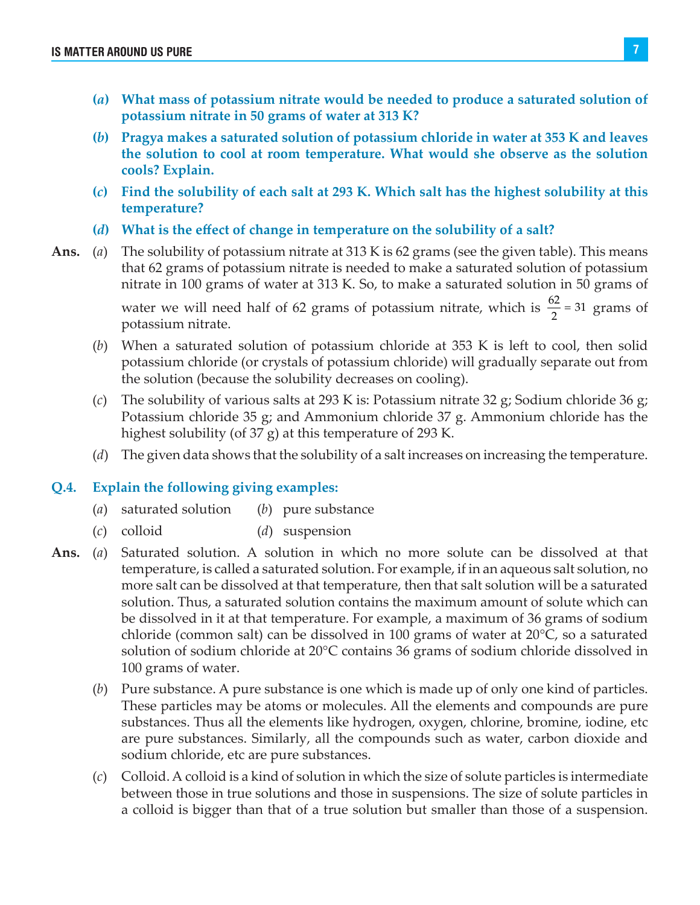- **(***a***) What mass of potassium nitrate would be needed to produce a saturated solution of potassium nitrate in 50 grams of water at 313 K?**
- **(***b***) Pragya makes a saturated solution of potassium chloride in water at 353 K and leaves the solution to cool at room temperature. What would she observe as the solution cools? Explain.**
- (c) Find the solubility of each salt at 293 K. Which salt has the highest solubility at this **temperature?**
- **(***d***) What is the effect of change in temperature on the solubility of a salt?**
- **Ans.** (*a*) The solubility of potassium nitrate at 313 K is 62 grams (see the given table). This means that 62 grams of potassium nitrate is needed to make a saturated solution of potassium nitrate in 100 grams of water at 313 K. So, to make a saturated solution in 50 grams of water we will need half of 62 grams of potassium nitrate, which is  $\frac{62}{2}$  = 31 grams of potassium nitrate.
	- (*b*) When a saturated solution of potassium chloride at 353 K is left to cool, then solid potassium chloride (or crystals of potassium chloride) will gradually separate out from the solution (because the solubility decreases on cooling).
	- (*c*) The solubility of various salts at 293 K is: Potassium nitrate 32 g; Sodium chloride 36 g; Potassium chloride 35 g; and Ammonium chloride 37 g. Ammonium chloride has the highest solubility (of 37 g) at this temperature of 293 K.
	- (*d*) The given data shows that the solubility of a salt increases on increasing the temperature.

#### **Q.4. Explain the following giving examples:**

- (*a*) saturated solution (*b*) pure substance
- (*c*) colloid (*d*) suspension
- **Ans.** (*a*) Saturated solution. A solution in which no more solute can be dissolved at that temperature, is called a saturated solution. For example, if in an aqueous salt solution, no more salt can be dissolved at that temperature, then that salt solution will be a saturated solution. Thus, a saturated solution contains the maximum amount of solute which can be dissolved in it at that temperature. For example, a maximum of 36 grams of sodium chloride (common salt) can be dissolved in 100 grams of water at 20°C, so a saturated solution of sodium chloride at 20°C contains 36 grams of sodium chloride dissolved in 100 grams of water.
	- (*b*) Pure substance. A pure substance is one which is made up of only one kind of particles. These particles may be atoms or molecules. All the elements and compounds are pure substances. Thus all the elements like hydrogen, oxygen, chlorine, bromine, iodine, etc are pure substances. Similarly, all the compounds such as water, carbon dioxide and sodium chloride, etc are pure substances.
	- (*c*) Colloid. A colloid is a kind of solution in which the size of solute particles is intermediate between those in true solutions and those in suspensions. The size of solute particles in a colloid is bigger than that of a true solution but smaller than those of a suspension.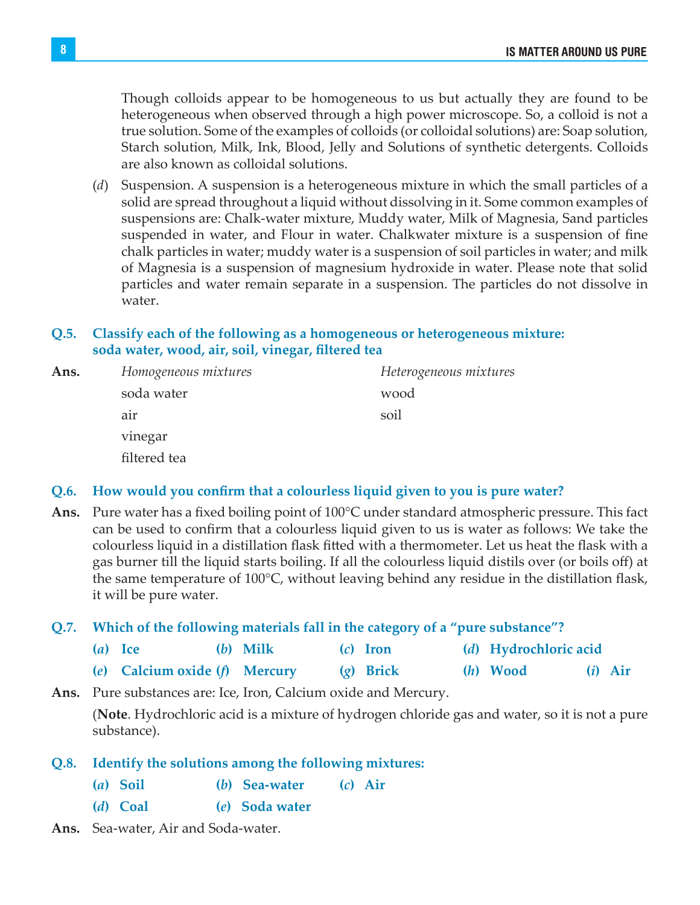Though colloids appear to be homogeneous to us but actually they are found to be heterogeneous when observed through a high power microscope. So, a colloid is not a true solution. Some of the examples of colloids (or colloidal solutions) are: Soap solution, Starch solution, Milk, Ink, Blood, Jelly and Solutions of synthetic detergents. Colloids are also known as colloidal solutions.

(*d*) Suspension. A suspension is a heterogeneous mixture in which the small particles of a solid are spread throughout a liquid without dissolving in it. Some common examples of suspensions are: Chalk-water mixture, Muddy water, Milk of Magnesia, Sand particles suspended in water, and Flour in water. Chalkwater mixture is a suspension of fine chalk particles in water; muddy water is a suspension of soil particles in water; and milk of Magnesia is a suspension of magnesium hydroxide in water. Please note that solid particles and water remain separate in a suspension. The particles do not dissolve in water.

## **Q.5. Classify each of the following as a homogeneous or heterogeneous mixture: soda water, wood, air, soil, vinegar, filtered tea**

| Ans. | Homogeneous mixtures | Heterogeneous mixtures |
|------|----------------------|------------------------|
|      | soda water           | wood                   |
|      | air                  | soil                   |
|      | vinegar              |                        |
|      | filtered tea         |                        |

# **Q.6. How would you confirm that a colourless liquid given to you is pure water?**

- **Ans.** Pure water has a fixed boiling point of 100°C under standard atmospheric pressure. This fact can be used to confirm that a colourless liquid given to us is water as follows: We take the colourless liquid in a distillation flask fitted with a thermometer. Let us heat the flask with a gas burner till the liquid starts boiling. If all the colourless liquid distils over (or boils off) at the same temperature of 100°C, without leaving behind any residue in the distillation flask, it will be pure water.
- **Q.7. Which of the following materials fall in the category of a "pure substance"?**

| $(a)$ Ice |                               | $(b)$ Milk | $(c)$ Iron  | (d) Hydrochloric acid |           |
|-----------|-------------------------------|------------|-------------|-----------------------|-----------|
|           | (e) Calcium oxide (f) Mercury |            | $(g)$ Brick | (h) Wood              | $(i)$ Air |

**Ans.** Pure substances are: Ice, Iron, Calcium oxide and Mercury.

 (**Note**. Hydrochloric acid is a mixture of hydrogen chloride gas and water, so it is not a pure substance).

- **Q.8. Identify the solutions among the following mixtures:**
	- **(***a***) Soil (***b***) Sea-water (***c***) Air**
	- **(***d***) Coal (***e***) Soda water**
- **Ans.** Sea-water, Air and Soda-water.